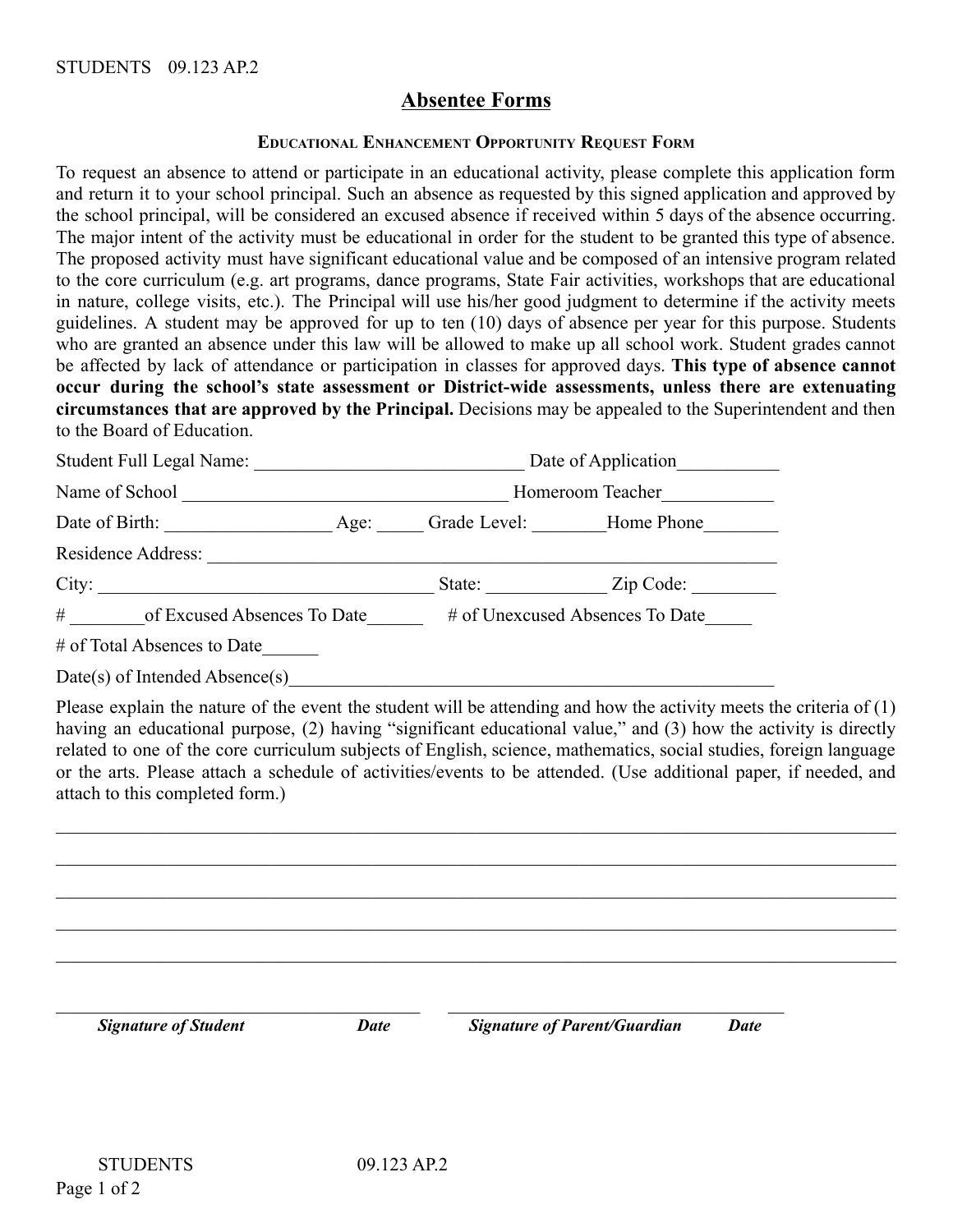# **Absentee Forms**

#### **EDUCATIONAL ENHANCEMENT OPPORTUNITY REQUEST FORM**

To request an absence to attend or participate in an educational activity, please complete this application form and return it to your school principal. Such an absence as requested by this signed application and approved by the school principal, will be considered an excused absence if received within 5 days of the absence occurring. The major intent of the activity must be educational in order for the student to be granted this type of absence. The proposed activity must have significant educational value and be composed of an intensive program related to the core curriculum (e.g. art programs, dance programs, State Fair activities, workshops that are educational in nature, college visits, etc.). The Principal will use his/her good judgment to determine if the activity meets guidelines. A student may be approved for up to ten (10) days of absence per year for this purpose. Students who are granted an absence under this law will be allowed to make up all school work. Student grades cannot be affected by lack of attendance or participation in classes for approved days. **This type of absence cannot occur during the school's state assessment or District-wide assessments, unless there are extenuating circumstances that are approved by the Principal.** Decisions may be appealed to the Superintendent and then to the Board of Education.

| Student Full Legal Name:         |      | Date of Application |                                 |  |  |
|----------------------------------|------|---------------------|---------------------------------|--|--|
| Name of School                   |      | Homeroom Teacher    |                                 |  |  |
| Date of Birth:                   | Age: |                     | Grade Level: Home Phone         |  |  |
| Residence Address:               |      |                     |                                 |  |  |
| City:                            |      | State:              | Zip Code:                       |  |  |
| #<br>of Excused Absences To Date |      |                     | # of Unexcused Absences To Date |  |  |

# of Total Absences to Date\_\_\_\_\_\_

Date(s) of Intended Absence(s)

Please explain the nature of the event the student will be attending and how the activity meets the criteria of (1) having an educational purpose, (2) having "significant educational value," and (3) how the activity is directly related to one of the core curriculum subjects of English, science, mathematics, social studies, foreign language or the arts. Please attach a schedule of activities/events to be attended. (Use additional paper, if needed, and attach to this completed form.)

 $\_$  , and the contribution of the contribution of the contribution of the contribution of the contribution of  $\mathcal{L}_\text{max}$ 

 $\_$  , and the contribution of the contribution of the contribution of the contribution of the contribution of  $\mathcal{L}_\text{max}$ 

 $\mathcal{L}_\mathcal{L} = \mathcal{L}_\mathcal{L} = \mathcal{L}_\mathcal{L} = \mathcal{L}_\mathcal{L} = \mathcal{L}_\mathcal{L} = \mathcal{L}_\mathcal{L} = \mathcal{L}_\mathcal{L} = \mathcal{L}_\mathcal{L} = \mathcal{L}_\mathcal{L} = \mathcal{L}_\mathcal{L} = \mathcal{L}_\mathcal{L} = \mathcal{L}_\mathcal{L} = \mathcal{L}_\mathcal{L} = \mathcal{L}_\mathcal{L} = \mathcal{L}_\mathcal{L} = \mathcal{L}_\mathcal{L} = \mathcal{L}_\mathcal{L}$  $\mathcal{L}_\mathcal{L} = \mathcal{L}_\mathcal{L} = \mathcal{L}_\mathcal{L} = \mathcal{L}_\mathcal{L} = \mathcal{L}_\mathcal{L} = \mathcal{L}_\mathcal{L} = \mathcal{L}_\mathcal{L} = \mathcal{L}_\mathcal{L} = \mathcal{L}_\mathcal{L} = \mathcal{L}_\mathcal{L} = \mathcal{L}_\mathcal{L} = \mathcal{L}_\mathcal{L} = \mathcal{L}_\mathcal{L} = \mathcal{L}_\mathcal{L} = \mathcal{L}_\mathcal{L} = \mathcal{L}_\mathcal{L} = \mathcal{L}_\mathcal{L}$  $\_$  , and the contribution of the contribution of the contribution of the contribution of the contribution of  $\mathcal{L}_\text{max}$  $\mathcal{L}_\text{max}$  , and the contribution of the contribution of the contribution of the contribution of the contribution of the contribution of the contribution of the contribution of the contribution of the contribution of t *Signature of Student Date Signature of Parent/Guardian Date*